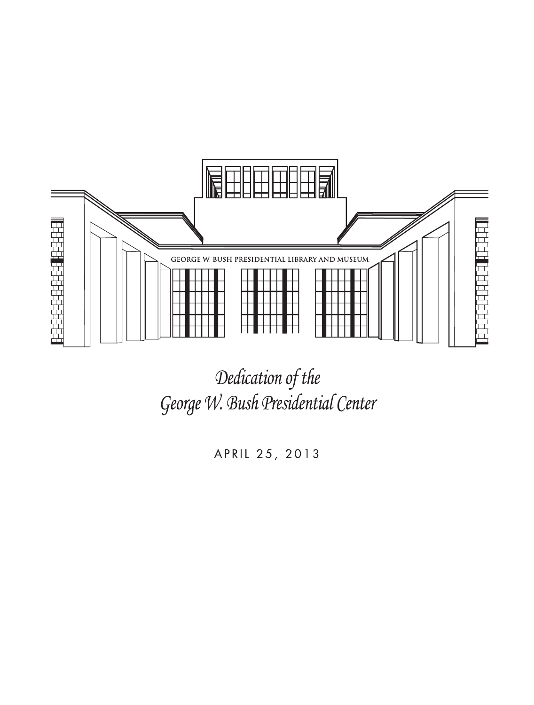

Dedication of the George W. Bush Presidential Center

APRIL 25, 2013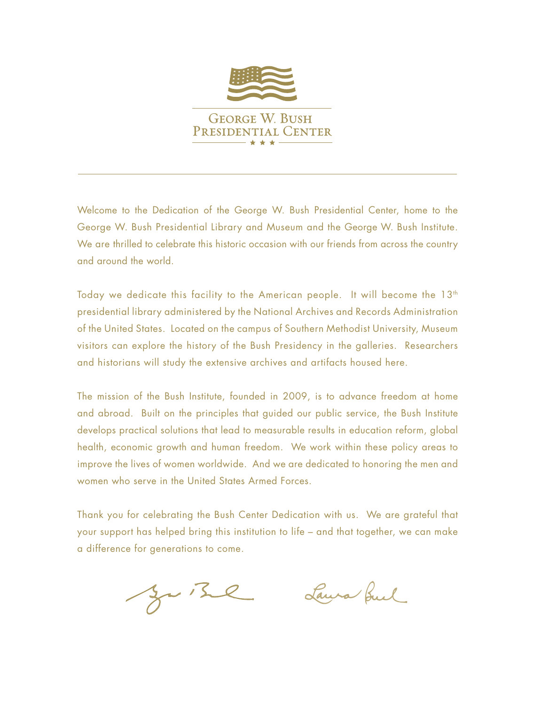

Welcome to the Dedication of the George W. Bush Presidential Center, home to the George W. Bush Presidential Library and Museum and the George W. Bush Institute. We are thrilled to celebrate this historic occasion with our friends from across the country and around the world.

Today we dedicate this facility to the American people. It will become the  $13<sup>th</sup>$ presidential library administered by the National Archives and Records Administration of the United States. Located on the campus of Southern Methodist University, Museum visitors can explore the history of the Bush Presidency in the galleries. Researchers and historians will study the extensive archives and artifacts housed here.

The mission of the Bush Institute, founded in 2009, is to advance freedom at home and abroad. Built on the principles that guided our public service, the Bush Institute develops practical solutions that lead to measurable results in education reform, global health, economic growth and human freedom. We work within these policy areas to improve the lives of women worldwide. And we are dedicated to honoring the men and women who serve in the United States Armed Forces.

Thank you for celebrating the Bush Center Dedication with us. We are grateful that your support has helped bring this institution to life – and that together, we can make a difference for generations to come.

Juine

Laura fuel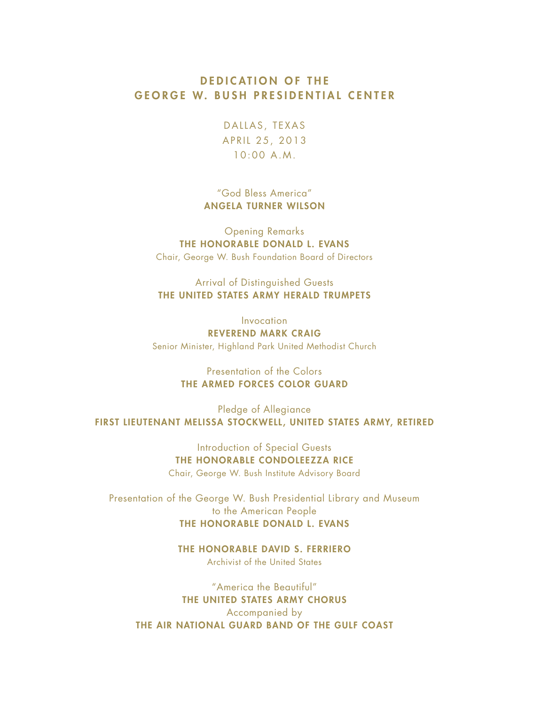## DEDICATION OF THE GEORGE W. BUSH PRESIDENTIAL CENTER

DALLAS, TEXAS APRIL 25, 2013 10:00 A.M.

"God Bless America" ANGELA TURNER WILSON

Opening Remarks THE HONORABLE DONALD L. EVANS Chair, George W. Bush Foundation Board of Directors

Arrival of Distinguished Guests THE UNITED STATES ARMY HERALD TRUMPETS

Invocation REVEREND MARK CRAIG Senior Minister, Highland Park United Methodist Church

> Presentation of the Colors THE ARMED FORCES COLOR GUARD

Pledge of Allegiance FIRST LIEUTENANT MELISSA STOCKWELL, UNITED STATES ARMY, RETIRED

> Introduction of Special Guests THE HONORABLE CONDOLEEZZA RICE Chair, George W. Bush Institute Advisory Board

Presentation of the George W. Bush Presidential Library and Museum to the American People THE HONORABLE DONALD L. EVANS

> THE HONORABLE DAVID S. FERRIERO Archivist of the United States

"America the Beautiful" THE UNITED STATES ARMY CHORUS Accompanied by THE AIR NATIONAL GUARD BAND OF THE GULF COAST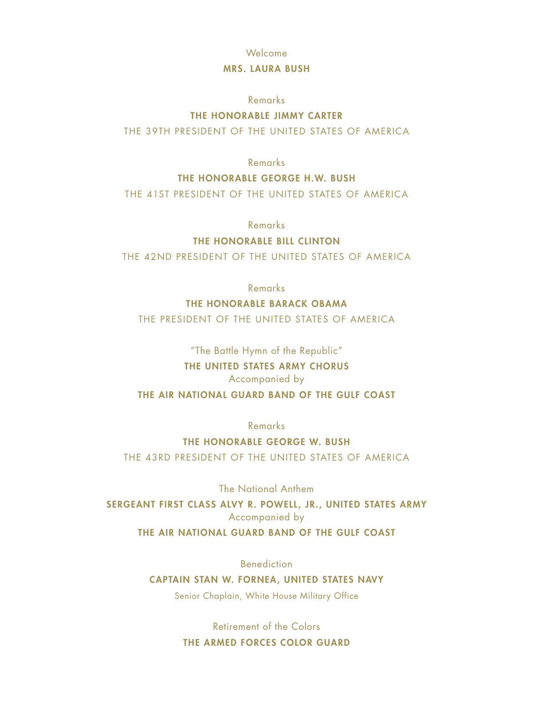#### Welcome

#### MRS. LAURA BUSH

#### Remarks

#### THE HONORABLE JIMMY CARTER

THE 39TH PRESIDENT OF THE UNITED STATES OF AMERICA

Remarks

#### THE HONORABLE GEORGE H.W. BUSH

THE 41ST PRESIDENT OF THE UNITED STATES OF AMERICA

Remarks

#### THE HONORABLE BILL CLINTON

THE 42ND PRESIDENT OF THE UNITED STATES OF AMERICA

Remarks

#### THE HONORABLE BARACK OBAMA

THE PRESIDENT OF THE UNITED STATES OF AMERICA

"The Battle Hymn of the Republic"

# THE UNITED STATES ARMY CHORUS

## Accompanied by

## THE AIR NATIONAL GUARD BAND OF THE GULF COAST

Remarks

THE HONORABLE GEORGE W. BUSH THE 43RD PRESIDENT OF THE UNITED STATES OF AMERICA

The National Anthem

SERGEANT FIRST CLASS ALVY R. POWELL, JR., UNITED STATES ARMY Accompanied by THE AIR NATIONAL GUARD BAND OF THE GULF COAST

Benediction

CAPTAIN STAN W. FORNEA, UNITED STATES NAVY

Senior Chaplain, White House Military Office

Retirement of the Colors THE ARMED FORCES COLOR GUARD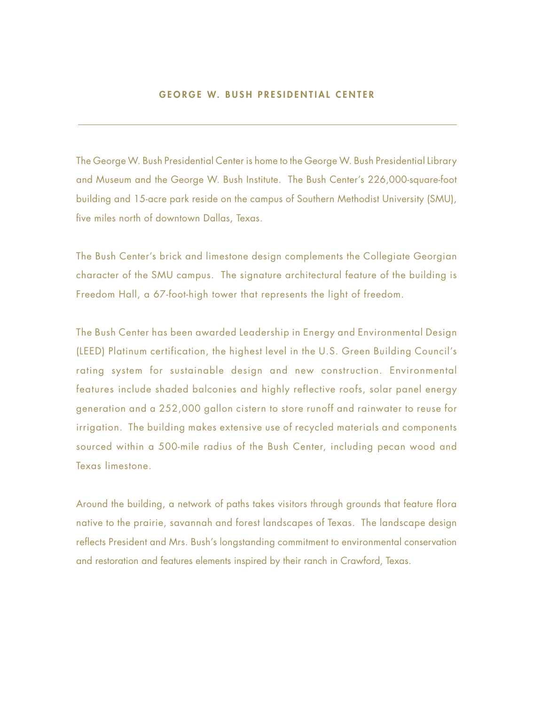#### GEORGE W. BUSH PRESIDENTIAL CENTER

The George W. Bush Presidential Center is home to the George W. Bush Presidential Library and Museum and the George W. Bush Institute. The Bush Center's 226,000-square-foot building and 15-acre park reside on the campus of Southern Methodist University (SMU), five miles north of downtown Dallas, Texas.

The Bush Center's brick and limestone design complements the Collegiate Georgian character of the SMU campus. The signature architectural feature of the building is Freedom Hall, a 67-foot-high tower that represents the light of freedom.

The Bush Center has been awarded Leadership in Energy and Environmental Design (LEED) Platinum certification, the highest level in the U.S. Green Building Council's rating system for sustainable design and new construction. Environmental features include shaded balconies and highly reflective roofs, solar panel energy generation and a 252,000 gallon cistern to store runoff and rainwater to reuse for irrigation. The building makes extensive use of recycled materials and components sourced within a 500-mile radius of the Bush Center, including pecan wood and Texas limestone.

Around the building, a network of paths takes visitors through grounds that feature flora native to the prairie, savannah and forest landscapes of Texas. The landscape design reflects President and Mrs. Bush's longstanding commitment to environmental conservation and restoration and features elements inspired by their ranch in Crawford, Texas.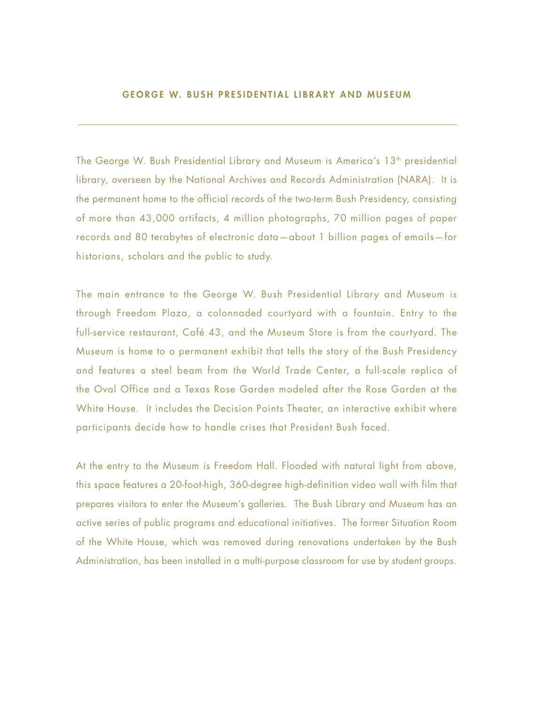#### GEORGE W. BUSH PRESIDENTIAL LIBRARY AND MUSEUM

The George W. Bush Presidential Library and Museum is America's 13<sup>th</sup> presidential library, overseen by the National Archives and Records Administration (NARA). It is the permanent home to the official records of the two-term Bush Presidency, consisting of more than 43,000 artifacts, 4 million photographs, 70 million pages of paper records and 80 terabytes of electronic data—about 1 billion pages of emails—for historians, scholars and the public to study.

The main entrance to the George W. Bush Presidential Library and Museum is through Freedom Plaza, a colonnaded courtyard with a fountain. Entry to the full-service restaurant, Café 43, and the Museum Store is from the courtyard. The Museum is home to a permanent exhibit that tells the story of the Bush Presidency and features a steel beam from the World Trade Center, a full-scale replica of the Oval Office and a Texas Rose Garden modeled after the Rose Garden at the White House. It includes the Decision Points Theater, an interactive exhibit where participants decide how to handle crises that President Bush faced.

At the entry to the Museum is Freedom Hall. Flooded with natural light from above, this space features a 20-foot-high, 360-degree high-definition video wall with film that prepares visitors to enter the Museum's galleries. The Bush Library and Museum has an active series of public programs and educational initiatives. The former Situation Room of the White House, which was removed during renovations undertaken by the Bush Administration, has been installed in a multi-purpose classroom for use by student groups.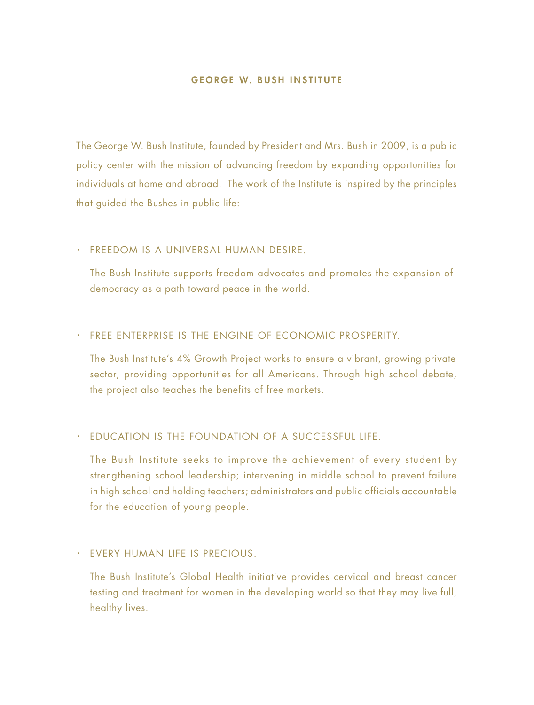The George W. Bush Institute, founded by President and Mrs. Bush in 2009, is a public policy center with the mission of advancing freedom by expanding opportunities for individuals at home and abroad. The work of the Institute is inspired by the principles that guided the Bushes in public life:

#### · FREEDOM IS A UNIVERSAL HUMAN DESIRE.

The Bush Institute supports freedom advocates and promotes the expansion of democracy as a path toward peace in the world.

#### · FREE ENTERPRISE IS THE ENGINE OF ECONOMIC PROSPERITY.

The Bush Institute's 4% Growth Project works to ensure a vibrant, growing private sector, providing opportunities for all Americans. Through high school debate, the project also teaches the benefits of free markets.

#### · EDUCATION IS THE FOUNDATION OF A SUCCESSFUL LIFE.

The Bush Institute seeks to improve the achievement of every student by strengthening school leadership; intervening in middle school to prevent failure in high school and holding teachers; administrators and public officials accountable for the education of young people.

#### · EVERY HUMAN LIFE IS PRECIOUS.

The Bush Institute's Global Health initiative provides cervical and breast cancer testing and treatment for women in the developing world so that they may live full, healthy lives.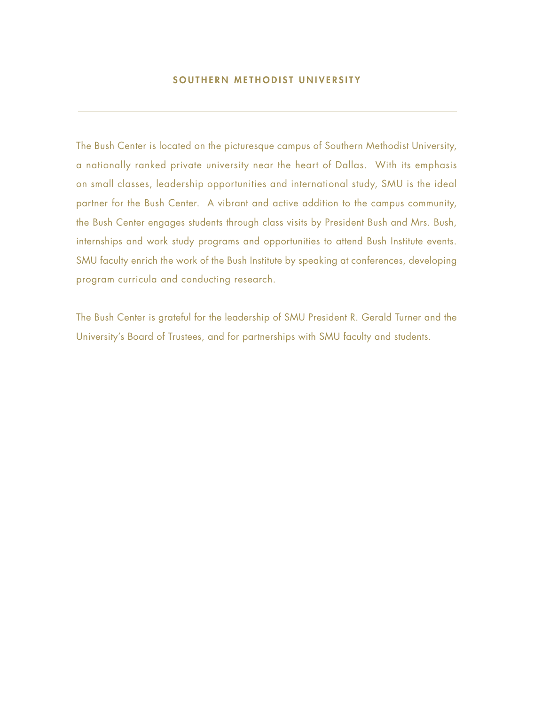## SOUTHERN METHODIST UNIVERSITY

The Bush Center is located on the picturesque campus of Southern Methodist University, a nationally ranked private university near the heart of Dallas. With its emphasis on small classes, leadership opportunities and international study, SMU is the ideal partner for the Bush Center. A vibrant and active addition to the campus community, the Bush Center engages students through class visits by President Bush and Mrs. Bush, internships and work study programs and opportunities to attend Bush Institute events. SMU faculty enrich the work of the Bush Institute by speaking at conferences, developing program curricula and conducting research.

The Bush Center is grateful for the leadership of SMU President R. Gerald Turner and the University's Board of Trustees, and for partnerships with SMU faculty and students.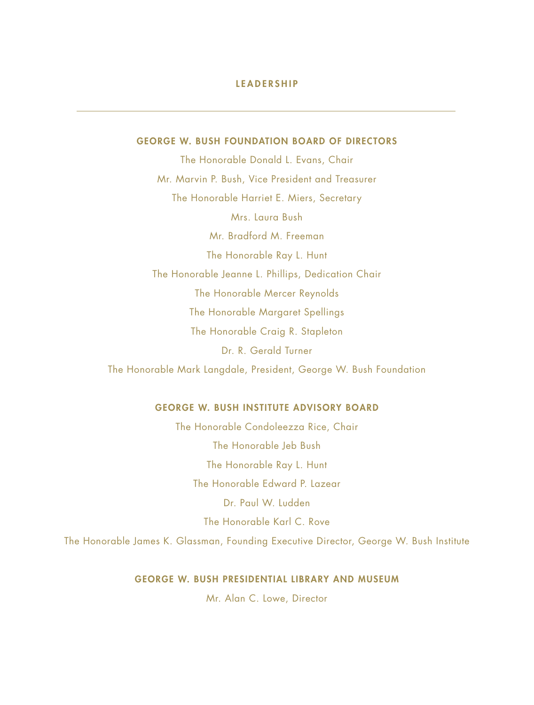#### LEADERSHIP

#### GEORGE W. BUSH FOUNDATION BOARD OF DIRECTORS

The Honorable Donald L. Evans, Chair Mr. Marvin P. Bush, Vice President and Treasurer The Honorable Harriet E. Miers, Secretary Mrs. Laura Bush Mr. Bradford M. Freeman The Honorable Ray L. Hunt The Honorable Jeanne L. Phillips, Dedication Chair The Honorable Mercer Reynolds The Honorable Margaret Spellings The Honorable Craig R. Stapleton Dr. R. Gerald Turner The Honorable Mark Langdale, President, George W. Bush Foundation

#### GEORGE W. BUSH INSTITUTE ADVISORY BOARD

The Honorable Condoleezza Rice, Chair The Honorable Jeb Bush The Honorable Ray L. Hunt The Honorable Edward P. Lazear Dr. Paul W. Ludden The Honorable Karl C. Rove The Honorable James K. Glassman, Founding Executive Director, George W. Bush Institute

#### GEORGE W. BUSH PRESIDENTIAL LIBRARY AND MUSEUM

Mr. Alan C. Lowe, Director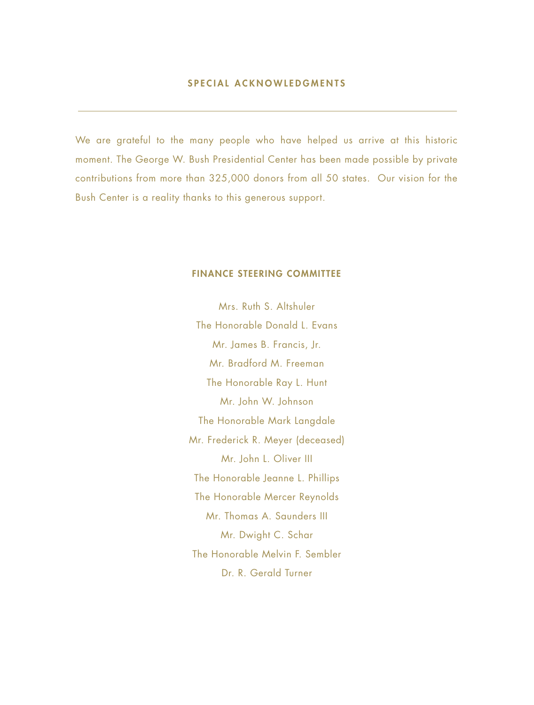We are grateful to the many people who have helped us arrive at this historic moment. The George W. Bush Presidential Center has been made possible by private contributions from more than 325,000 donors from all 50 states. Our vision for the Bush Center is a reality thanks to this generous support.

#### FINANCE STEERING COMMITTEE

Mrs. Ruth S. Altshuler The Honorable Donald L. Evans Mr. James B. Francis, Jr. Mr. Bradford M. Freeman The Honorable Ray L. Hunt Mr. John W. Johnson The Honorable Mark Langdale Mr. Frederick R. Meyer (deceased) Mr. John L. Oliver III The Honorable Jeanne L. Phillips The Honorable Mercer Reynolds Mr. Thomas A. Saunders III Mr. Dwight C. Schar The Honorable Melvin F. Sembler Dr. R. Gerald Turner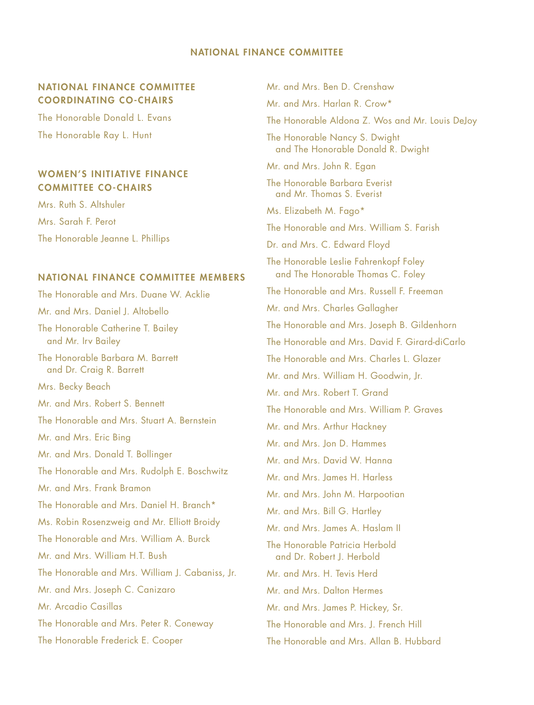#### NATIONAL FINANCE COMMITTEE

#### NATIONAL FINANCE COMMITTEE COORDINATING CO-CHAIRS

The Honorable Donald L. Evans The Honorable Ray L. Hunt

### WOMEN'S INITIATIVE FINANCE COMMITTEE CO-CHAIRS

Mrs. Ruth S. Altshuler Mrs. Sarah F. Perot The Honorable Jeanne L. Phillips

#### NATIONAL FINANCE COMMITTEE MEMBERS

The Honorable and Mrs. Duane W. Acklie Mr. and Mrs. Daniel J. Altobello The Honorable Catherine T. Bailey and Mr. Irv Bailey The Honorable Barbara M. Barrett and Dr. Craig R. Barrett Mrs. Becky Beach Mr. and Mrs. Robert S. Bennett The Honorable and Mrs. Stuart A. Bernstein Mr. and Mrs. Eric Bing Mr. and Mrs. Donald T. Bollinger The Honorable and Mrs. Rudolph E. Boschwitz Mr. and Mrs. Frank Bramon The Honorable and Mrs. Daniel H. Branch\* Ms. Robin Rosenzweig and Mr. Elliott Broidy The Honorable and Mrs. William A. Burck Mr. and Mrs. William H.T. Bush The Honorable and Mrs. William J. Cabaniss, Jr. Mr. and Mrs. Joseph C. Canizaro Mr. Arcadio Casillas The Honorable and Mrs. Peter R. Coneway The Honorable Frederick E. Cooper

Mr. and Mrs. Ben D. Crenshaw Mr. and Mrs. Harlan R. Crow\* The Honorable Aldona Z. Wos and Mr. Louis DeJoy The Honorable Nancy S. Dwight and The Honorable Donald R. Dwight Mr. and Mrs. John R. Egan The Honorable Barbara Everist and Mr. Thomas S. Everist Ms. Elizabeth M. Fago\* The Honorable and Mrs. William S. Farish Dr. and Mrs. C. Edward Floyd The Honorable Leslie Fahrenkopf Foley and The Honorable Thomas C. Foley The Honorable and Mrs. Russell F. Freeman Mr. and Mrs. Charles Gallagher The Honorable and Mrs. Joseph B. Gildenhorn The Honorable and Mrs. David F. Girard-diCarlo The Honorable and Mrs. Charles L. Glazer Mr. and Mrs. William H. Goodwin, Jr. Mr. and Mrs. Robert T. Grand The Honorable and Mrs. William P. Graves Mr. and Mrs. Arthur Hackney Mr. and Mrs. Jon D. Hammes Mr. and Mrs. David W. Hanna Mr. and Mrs. James H. Harless Mr. and Mrs. John M. Harpootian Mr. and Mrs. Bill G. Hartley Mr. and Mrs. James A. Haslam II The Honorable Patricia Herbold and Dr. Robert J. Herbold Mr. and Mrs. H. Tevis Herd Mr. and Mrs. Dalton Hermes Mr. and Mrs. James P. Hickey, Sr. The Honorable and Mrs. J. French Hill The Honorable and Mrs. Allan B. Hubbard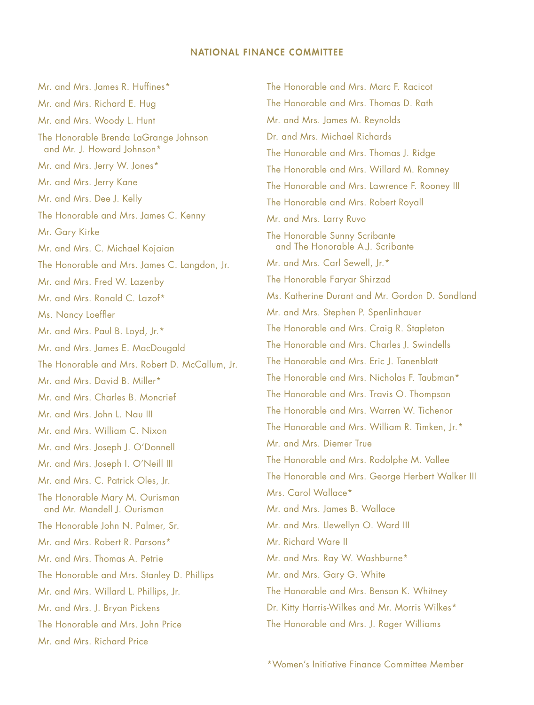#### NATIONAL FINANCE COMMITTEE

Mr. and Mrs. James R. Huffines\* Mr. and Mrs. Richard E. Hug Mr. and Mrs. Woody L. Hunt The Honorable Brenda LaGrange Johnson and Mr. J. Howard Johnson\* Mr. and Mrs. Jerry W. Jones\* Mr. and Mrs. Jerry Kane Mr. and Mrs. Dee J. Kelly The Honorable and Mrs. James C. Kenny Mr. Gary Kirke Mr. and Mrs. C. Michael Kojaian The Honorable and Mrs. James C. Langdon, Jr. Mr. and Mrs. Fred W. Lazenby Mr. and Mrs. Ronald C. Lazof\* Ms. Nancy Loeffler Mr. and Mrs. Paul B. Loyd, Jr.\* Mr. and Mrs. James E. MacDougald The Honorable and Mrs. Robert D. McCallum, Jr. Mr. and Mrs. David B. Miller\* Mr. and Mrs. Charles B. Moncrief Mr. and Mrs. John L. Nau III Mr. and Mrs. William C. Nixon Mr. and Mrs. Joseph J. O'Donnell Mr. and Mrs. Joseph I. O'Neill III Mr. and Mrs. C. Patrick Oles, Jr. The Honorable Mary M. Ourisman and Mr. Mandell J. Ourisman The Honorable John N. Palmer, Sr. Mr. and Mrs. Robert R. Parsons\* Mr. and Mrs. Thomas A. Petrie The Honorable and Mrs. Stanley D. Phillips Mr. and Mrs. Willard L. Phillips, Jr. Mr. and Mrs. J. Bryan Pickens The Honorable and Mrs. John Price Mr. and Mrs. Richard Price

The Honorable and Mrs. Marc F. Racicot The Honorable and Mrs. Thomas D. Rath Mr. and Mrs. James M. Reynolds Dr. and Mrs. Michael Richards The Honorable and Mrs. Thomas J. Ridge The Honorable and Mrs. Willard M. Romney The Honorable and Mrs. Lawrence F. Rooney III The Honorable and Mrs. Robert Royall Mr. and Mrs. Larry Ruvo The Honorable Sunny Scribante and The Honorable A.J. Scribante Mr. and Mrs. Carl Sewell, Jr.\* The Honorable Faryar Shirzad Ms. Katherine Durant and Mr. Gordon D. Sondland Mr. and Mrs. Stephen P. Spenlinhauer The Honorable and Mrs. Craig R. Stapleton The Honorable and Mrs. Charles J. Swindells The Honorable and Mrs. Eric J. Tanenblatt The Honorable and Mrs. Nicholas F. Taubman\* The Honorable and Mrs. Travis O. Thompson The Honorable and Mrs. Warren W. Tichenor The Honorable and Mrs. William R. Timken, Jr.\* Mr. and Mrs. Diemer True The Honorable and Mrs. Rodolphe M. Vallee The Honorable and Mrs. George Herbert Walker III Mrs. Carol Wallace\* Mr. and Mrs. James B. Wallace Mr. and Mrs. Llewellyn O. Ward III Mr. Richard Ware II Mr. and Mrs. Ray W. Washburne\* Mr. and Mrs. Gary G. White The Honorable and Mrs. Benson K. Whitney Dr. Kitty Harris-Wilkes and Mr. Morris Wilkes\* The Honorable and Mrs. J. Roger Williams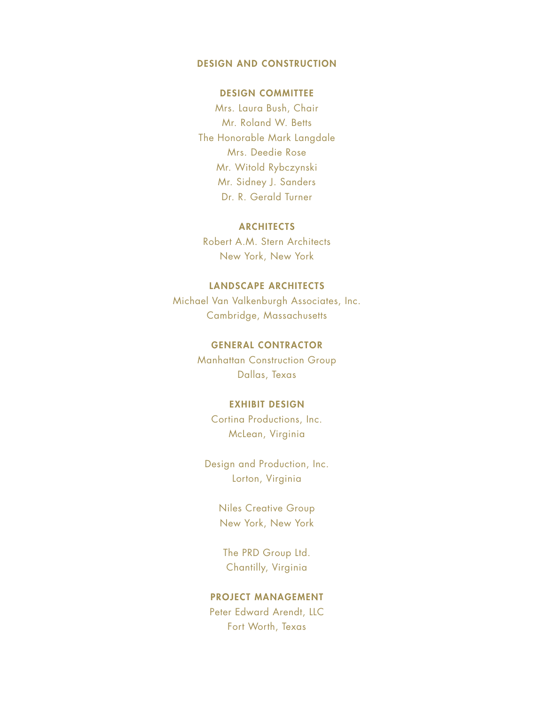#### DESIGN AND CONSTRUCTION

#### DESIGN COMMITTEE

Mrs. Laura Bush, Chair Mr. Roland W. Betts The Honorable Mark Langdale Mrs. Deedie Rose Mr. Witold Rybczynski Mr. Sidney J. Sanders Dr. R. Gerald Turner

#### **ARCHITECTS**

Robert A.M. Stern Architects New York, New York

## LANDSCAPE ARCHITECTS

Michael Van Valkenburgh Associates, Inc. Cambridge, Massachusetts

#### GENERAL CONTRACTOR

Manhattan Construction Group Dallas, Texas

#### EXHIBIT DESIGN

Cortina Productions, Inc. McLean, Virginia

Design and Production, Inc. Lorton, Virginia

> Niles Creative Group New York, New York

The PRD Group Ltd. Chantilly, Virginia

## PROJECT MANAGEMENT

Peter Edward Arendt, LLC Fort Worth, Texas